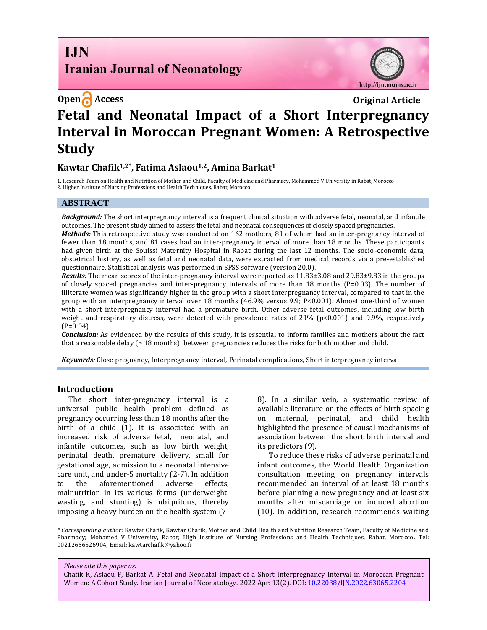# **I.IN Iranian Journal of Neonatology**

**Open Access Original Article** 

http://ijn.mums.ac.ir

# **Fetal and Neonatal Impact of a Short Interpregnancy Interval in Moroccan Pregnant Women: A Retrospective Study**

# **Kawtar Chafik1,2\* , Fatima Aslaou1,2, Amina Barkat<sup>1</sup>**

1. Research Team on Health and Nutrition of Mother and Child, Faculty of Medicine and Pharmacy, Mohammed V University in Rabat, Morocco 2. Higher Institute of Nursing Professions and Health Techniques, Rabat, Morocco

#### **ABSTRACT**

*Background:* The short interpregnancy interval is a frequent clinical situation with adverse fetal, neonatal, and infantile outcomes. The present study aimed to assess the fetal and neonatal consequences of closely spaced pregnancies.

*Methods:* This retrospective study was conducted on 162 mothers, 81 of whom had an inter-pregnancy interval of fewer than 18 months, and 81 cases had an inter-pregnancy interval of more than 18 months. These participants had given birth at the Souissi Maternity Hospital in Rabat during the last 12 months. The socio-economic data, obstetrical history, as well as fetal and neonatal data, were extracted from medical records via a pre-established questionnaire. Statistical analysis was performed in SPSS software (version 20.0).

*Results:* The mean scores of the inter-pregnancy interval were reported as 11.83±3.08 and 29.83±9.83 in the groups of closely spaced pregnancies and inter-pregnancy intervals of more than  $18$  months (P=0.03). The number of illiterate women was significantly higher in the group with a short interpregnancy interval, compared to that in the group with an interpregnancy interval over 18 months (46.9% versus 9.9; P<0.001). Almost one-third of women with a short interpregnancy interval had a premature birth. Other adverse fetal outcomes, including low birth weight and respiratory distress, were detected with prevalence rates of 21% (p<0.001) and 9.9%, respectively  $(P=0.04)$ .

*Conclusion:* As evidenced by the results of this study, it is essential to inform families and mothers about the fact that a reasonable delay (> 18 months) between pregnancies reduces the risks for both mother and child.

*Keywords:* Close pregnancy, Interpregnancy interval, Perinatal complications, Short interpregnancy interval

## **Introduction**

The short inter-pregnancy interval is a universal public health problem defined as pregnancy occurring less than 18 months after the birth of a child (1). It is associated with an increased risk of adverse fetal, neonatal, and infantile outcomes, such as low birth weight, perinatal death, premature delivery, small for gestational age, admission to a neonatal intensive care unit, and under-5 mortality (2-7). In addition to the aforementioned adverse effects, malnutrition in its various forms (underweight, wasting, and stunting) is ubiquitous, thereby imposing a heavy burden on the health system (78). In a similar vein, a systematic review of available literature on the effects of birth spacing on maternal, perinatal, and child health highlighted the presence of causal mechanisms of association between the short birth interval and its predictors (9).

To reduce these risks of adverse perinatal and infant outcomes, the World Health Organization consultation meeting on pregnancy intervals recommended an interval of at least 18 months before planning a new pregnancy and at least six months after miscarriage or induced abortion (10). In addition, research recommends waiting

*Please cite this paper as:*

Chafik K, Aslaou F, Barkat A. Fetal and Neonatal Impact of a Short Interpregnancy Interval in Moroccan Pregnant Women: A Cohort Study. Iranian Journal of Neonatology. 2022 Apr: 13(2). DOI[: 10.22038/IJN.2022.63065.2204](https://ijn.mums.ac.ir/)

*<sup>\*</sup> Corresponding author*: Kawtar Chafik, Kawtar Chafik, Mother and Child Health and Nutrition Research Team, Faculty of Medicine and Pharmacy; Mohamed V University, Rabat; High Institute of Nursing Professions and Health Techniques, Rabat, Morocco. Tel: 00212666526904; Email[: kawtarchafik@yahoo.fr](mailto:kawtarchafik@yahoo.fr)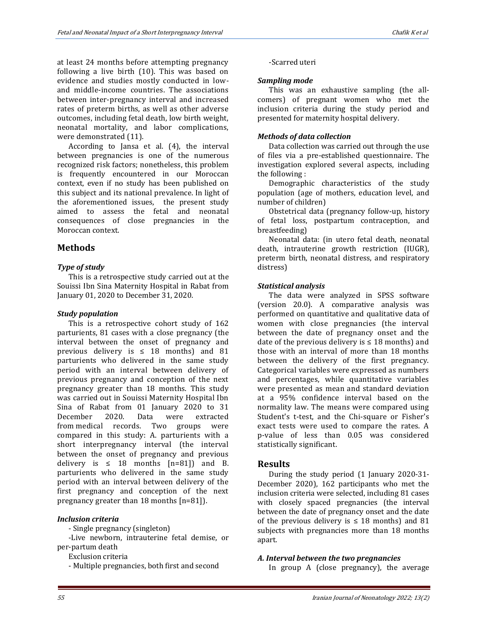at least 24 months before attempting pregnancy following a live birth (10). This was based on evidence and studies mostly conducted in lowand middle-income countries. The associations between inter-pregnancy interval and increased rates of preterm births, as well as other adverse outcomes, including fetal death, low birth weight, neonatal mortality, and labor complications, were demonstrated (11).

According to Jansa et al. (4), the interval between pregnancies is one of the numerous recognized risk factors; nonetheless, this problem is frequently encountered in our Moroccan context, even if no study has been published on this subject and its national prevalence. In light of the aforementioned issues, the present study aimed to assess the fetal and neonatal consequences of close pregnancies in the Moroccan context.

## **Methods**

## *Type of study*

This is a retrospective study carried out at the Souissi Ibn Sina Maternity Hospital in Rabat from January 01, 2020 to December 31, 2020.

## *Study population*

This is a retrospective cohort study of 162 parturients, 81 cases with a close pregnancy (the interval between the onset of pregnancy and previous delivery is  $\leq$  18 months) and 81 parturients who delivered in the same study period with an interval between delivery of previous pregnancy and conception of the next pregnancy greater than 18 months. This study was carried out in Souissi Maternity Hospital Ibn Sina of Rabat from 01 January 2020 to 31 December 2020. Data were extracted from medical records. Two groups were compared in this study: A. parturients with a short interpregnancy interval (the interval between the onset of pregnancy and previous delivery is  $\leq 18$  months [n=81]) and B. parturients who delivered in the same study period with an interval between delivery of the first pregnancy and conception of the next pregnancy greater than 18 months [n=81]).

## *Inclusion criteria*

- Single pregnancy (singleton)

-Live newborn, intrauterine fetal demise, or per-partum death

Exclusion criteria

- Multiple pregnancies, both first and second

#### -Scarred uteri

#### *Sampling mode*

This was an exhaustive sampling (the allcomers) of pregnant women who met the inclusion criteria during the study period and presented for maternity hospital delivery.

## *Methods of data collection*

Data collection was carried out through the use of files via a pre-established questionnaire. The investigation explored several aspects, including the following :

Demographic characteristics of the study population (age of mothers, education level, and number of children)

Obstetrical data (pregnancy follow-up, history of fetal loss, postpartum contraception, and breastfeeding)

Neonatal data: (in utero fetal death, neonatal death, intrauterine growth restriction (IUGR), preterm birth, neonatal distress, and respiratory distress)

## *Statistical analysis*

The data were analyzed in SPSS software (version 20.0). A comparative analysis was performed on quantitative and qualitative data of women with close pregnancies (the interval between the date of pregnancy onset and the date of the previous delivery is  $\leq 18$  months) and those with an interval of more than 18 months between the delivery of the first pregnancy. Categorical variables were expressed as numbers and percentages, while quantitative variables were presented as mean and standard deviation at a 95% confidence interval based on the normality law. The means were compared using Student's t-test, and the Chi-square or Fisher's exact tests were used to compare the rates. A p-value of less than 0.05 was considered statistically significant.

## **Results**

During the study period (1 January 2020-31- December 2020), 162 participants who met the inclusion criteria were selected, including 81 cases with closely spaced pregnancies (the interval between the date of pregnancy onset and the date of the previous delivery is  $\leq 18$  months) and 81 subjects with pregnancies more than 18 months apart.

## *A. Interval between the two pregnancies*

In group A (close pregnancy), the average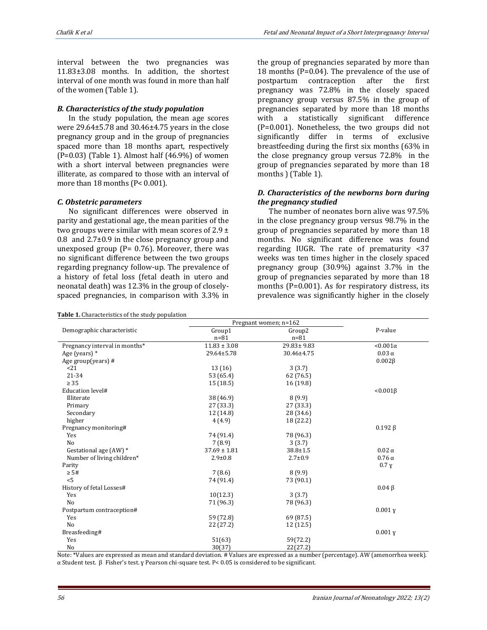interval between the two pregnancies was 11.83±3.08 months. In addition, the shortest interval of one month was found in more than half of the women (Table 1).

#### *B. Characteristics of the study population*

In the study population, the mean age scores were 29.64±5.78 and 30.46±4.75 years in the close pregnancy group and in the group of pregnancies spaced more than 18 months apart, respectively (P=0.03) (Table 1). Almost half  $(46.9\%)$  of women with a short interval between pregnancies were illiterate, as compared to those with an interval of more than 18 months (P< 0.001).

#### *C. Obstetric parameters*

No significant differences were observed in parity and gestational age, the mean parities of the two groups were similar with mean scores of  $2.9 \pm$ 0.8 and  $2.7\pm0.9$  in the close pregnancy group and unexposed group ( $P = 0.76$ ). Moreover, there was no significant difference between the two groups regarding pregnancy follow-up. The prevalence of a history of fetal loss (fetal death in utero and neonatal death) was 12.3% in the group of closelyspaced pregnancies, in comparison with 3.3% in

| <b>Table 1.</b> Characteristics of the study population |
|---------------------------------------------------------|
|                                                         |

the group of pregnancies separated by more than 18 months (P=0.04). The prevalence of the use of postpartum contraception after the first pregnancy was 72.8% in the closely spaced pregnancy group versus 87.5% in the group of pregnancies separated by more than 18 months with a statistically significant difference (P=0.001). Nonetheless, the two groups did not significantly differ in terms of exclusive breastfeeding during the first six months (63% in the close pregnancy group versus 72.8% in the group of pregnancies separated by more than 18 months ) (Table 1).

#### *D. Characteristics of the newborns born during the pregnancy studied*

The number of neonates born alive was 97.5% in the close pregnancy group versus 98.7% in the group of pregnancies separated by more than 18 months. No significant difference was found regarding IUGR. The rate of prematurity <37 weeks was ten times higher in the closely spaced pregnancy group (30.9%) against 3.7% in the group of pregnancies separated by more than 18 months (P=0.001). As for respiratory distress, its prevalence was significantly higher in the closely

|                               |                  | Pregnant women; n=162 |                 |
|-------------------------------|------------------|-----------------------|-----------------|
| Demographic characteristic    | Group1           | Group2                | P-value         |
|                               | $n=81$           | $n = 81$              |                 |
| Pregnancy interval in months* | $11.83 \pm 3.08$ | $29.83 \pm 9.83$      | $< 0.001\alpha$ |
| Age (years) $*$               | 29.64±5.78       | 30.46±4.75            | $0.03 \alpha$   |
| Age group(years) $#$          |                  |                       | $0.002\beta$    |
| $21$                          | 13(16)           | 3(3.7)                |                 |
| 21-34                         | 53 (65.4)        | 62 (76.5)             |                 |
| $\geq 35$                     | 15(18.5)         | 16(19.8)              |                 |
| Education level#              |                  |                       | < 0.0016        |
| Illiterate                    | 38 (46.9)        | 8(9.9)                |                 |
| Primary                       | 27 (33.3)        | 27 (33.3)             |                 |
| Secondary                     | 12 (14.8)        | 28 (34.6)             |                 |
| higher                        | 4(4.9)           | 18 (22.2)             |                 |
| Pregnancy monitoring#         |                  |                       | $0.192\beta$    |
| Yes                           | 74 (91.4)        | 78 (96.3)             |                 |
| N <sub>o</sub>                | 7(8.9)           | 3(3.7)                |                 |
| Gestational age (AW) *        | $37.69 \pm 1.81$ | $38.8 \pm 1.5$        | $0.02 \alpha$   |
| Number of living children*    | $2.9 \pm 0.8$    | $2.7 \pm 0.9$         | $0.76 \alpha$   |
| Parity                        |                  |                       | 0.7y            |
| $\geq 5$ #                    | 7(8.6)           | 8(9.9)                |                 |
| < 5                           | 74 (91.4)        | 73 (90.1)             |                 |
| History of fetal Losses#      |                  |                       | $0.04\beta$     |
| Yes                           | 10(12.3)         | 3(3.7)                |                 |
| N <sub>o</sub>                | 71 (96.3)        | 78 (96.3)             |                 |
| Postpartum contraception#     |                  |                       | 0.001y          |
| Yes                           | 59 (72.8)        | 69 (87.5)             |                 |
| N <sub>0</sub>                | 22 (27.2)        | 12 (12.5)             |                 |
| Breasfeeding#                 |                  |                       | 0.001y          |
| Yes                           | 51(63)           | 59(72.2)              |                 |
| No                            | 30(37)           | 22(27.2)              |                 |

Note: \*Values are expressed as mean and standard deviation. # Values are expressed as a number (percentage). AW (amenorrhea week). α Student test. β Fisher's test. ɣ Pearson chi-square test. P< 0.05 is considered to be significant.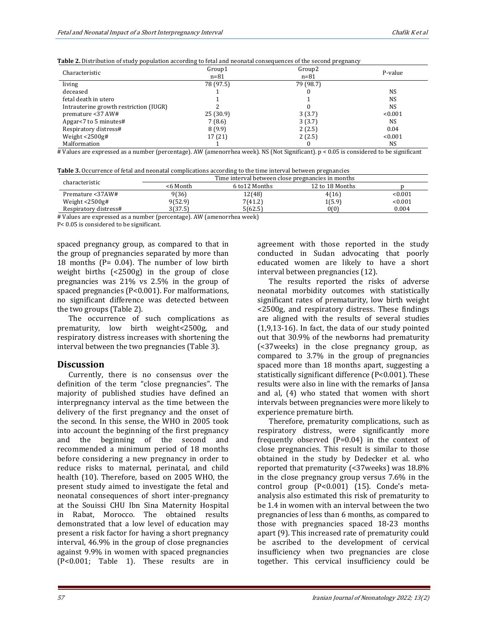|  |  | Table 2. Distribution of study population according to fetal and neonatal consequences of the second pregnancy |
|--|--|----------------------------------------------------------------------------------------------------------------|
|  |  |                                                                                                                |
|  |  |                                                                                                                |

| .                                      | ີ                  | $\overline{\phantom{a}}$       |           |
|----------------------------------------|--------------------|--------------------------------|-----------|
| Characteristic                         | Group1<br>$n = 81$ | Group <sub>2</sub><br>$n = 81$ | P-value   |
| living                                 | 78 (97.5)          | 79 (98.7)                      |           |
| deceased                               |                    |                                | <b>NS</b> |
| fetal death in utero                   |                    |                                | <b>NS</b> |
| Intrauterine growth restriction (IUGR) |                    |                                | <b>NS</b> |
| premature <37 AW#                      | 25(30.9)           | 3(3.7)                         | < 0.001   |
| Apgar<7 to 5 minutes#                  | 7(8.6)             | 3(3.7)                         | <b>NS</b> |
| Respiratory distress#                  | 8(9.9)             | 2(2.5)                         | 0.04      |
| Weight $<$ 2500g#                      | 17 (21)            | 2(2.5)                         | < 0.001   |
| Malformation                           |                    |                                | <b>NS</b> |

# Values are expressed as a number (percentage). AW (amenorrhea week). NS (Not Significant). p < 0.05 is considered to be significant

| Table 3. Occurrence of fetal and neonatal complications according to the time interval between pregnancies |
|------------------------------------------------------------------------------------------------------------|
|------------------------------------------------------------------------------------------------------------|

| characteristic                                                                                                                 | Time interval between close pregnancies in months |                |                 |         |
|--------------------------------------------------------------------------------------------------------------------------------|---------------------------------------------------|----------------|-----------------|---------|
|                                                                                                                                | <6 Month                                          | 6 to 12 Months | 12 to 18 Months |         |
| Premature <37AW#                                                                                                               | 9(36)                                             | 12(48)         | 4(16)           | < 0.001 |
| Weight $<$ 2500g#                                                                                                              | 9(52.9)                                           | 7(41.2)        | 1(5.9)          | < 0.001 |
| Respiratory distress#                                                                                                          | 3(37.5)                                           | 5(62.5)        | 000)            | 0.004   |
| $\bf{H}$ Well as a second second as a second of the second and $\bf{A}$ $\bf{M}$ $\bf{H}$ $\bf{C}$ as a second second $\bf{A}$ |                                                   |                |                 |         |

# Values are expressed as a number (percentage). AW (amenorrhea week)

P< 0.05 is considered to be significant.

spaced pregnancy group, as compared to that in the group of pregnancies separated by more than 18 months (P= 0.04). The number of low birth weight births (<2500g) in the group of close pregnancies was 21% vs 2.5% in the group of spaced pregnancies (P<0.001). For malformations, no significant difference was detected between the two groups (Table 2).

The occurrence of such complications as prematurity, low birth weight<2500g, and respiratory distress increases with shortening the interval between the two pregnancies (Table 3).

#### **Discussion**

Currently, there is no consensus over the definition of the term "close pregnancies". The majority of published studies have defined an interpregnancy interval as the time between the delivery of the first pregnancy and the onset of the second. In this sense, the WHO in 2005 took into account the beginning of the first pregnancy and the beginning of the second and recommended a minimum period of 18 months before considering a new pregnancy in order to reduce risks to maternal, perinatal, and child health (10). Therefore, based on 2005 WHO, the present study aimed to investigate the fetal and neonatal consequences of short inter-pregnancy at the Souissi CHU Ibn Sina Maternity Hospital in Rabat, Morocco. The obtained results demonstrated that a low level of education may present a risk factor for having a short pregnancy interval, 46.9% in the group of close pregnancies against 9.9% in women with spaced pregnancies (P<0.001; Table 1). These results are in agreement with those reported in the study conducted in Sudan advocating that poorly educated women are likely to have a short interval between pregnancies (12).

The results reported the risks of adverse neonatal morbidity outcomes with statistically significant rates of prematurity, low birth weight <2500g, and respiratory distress. These findings are aligned with the results of several studies (1,9,13-16). In fact, the data of our study pointed out that 30.9% of the newborns had prematurity (<37weeks) in the close pregnancy group, as compared to 3.7% in the group of pregnancies spaced more than 18 months apart, suggesting a statistically significant difference (P<0.001). These results were also in line with the remarks of Jansa and al, (4) who stated that women with short intervals between pregnancies were more likely to experience premature birth.

Therefore, prematurity complications, such as respiratory distress, were significantly more frequently observed (P=0.04) in the context of close pregnancies. This result is similar to those obtained in the study by Dedecker et al. who reported that prematurity (<37weeks) was 18.8% in the close pregnancy group versus 7.6% in the control group (P<0.001) (15). Conde's metaanalysis also estimated this risk of prematurity to be 1.4 in women with an interval between the two pregnancies of less than 6 months, as compared to those with pregnancies spaced 18-23 months apart (9). This increased rate of prematurity could be ascribed to the development of cervical insufficiency when two pregnancies are close together. This cervical insufficiency could be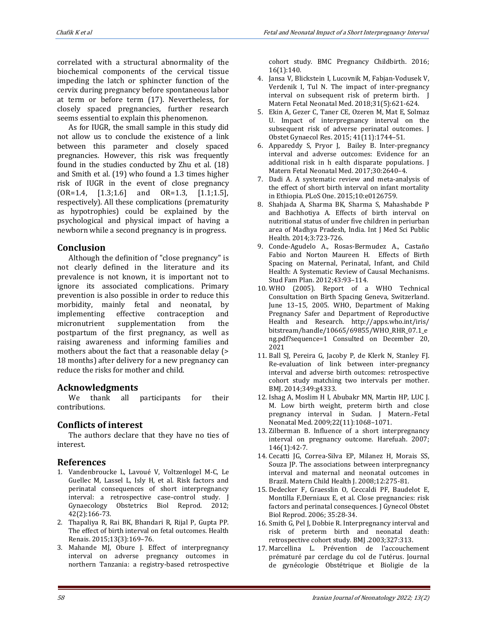correlated with a structural abnormality of the biochemical components of the cervical tissue impeding the latch or sphincter function of the cervix during pregnancy before spontaneous labor at term or before term (17). Nevertheless, for closely spaced pregnancies, further research seems essential to explain this phenomenon.

As for IUGR, the small sample in this study did not allow us to conclude the existence of a link between this parameter and closely spaced pregnancies. However, this risk was frequently found in the studies conducted by Zhu et al. (18) and Smith et al. (19) who found a 1.3 times higher risk of IUGR in the event of close pregnancy (OR=1.4, [1.3;1.6] and OR=1.3, [1.1;1.5], respectively). All these complications (prematurity as hypotrophies) could be explained by the psychological and physical impact of having a newborn while a second pregnancy is in progress.

# **Conclusion**

Although the definition of "close pregnancy" is not clearly defined in the literature and its prevalence is not known, it is important not to ignore its associated complications. Primary prevention is also possible in order to reduce this morbidity, mainly fetal and neonatal, by implementing effective contraception and micronutrient supplementation from the postpartum of the first pregnancy, as well as raising awareness and informing families and mothers about the fact that a reasonable delay (> 18 months) after delivery for a new pregnancy can reduce the risks for mother and child.

# **Acknowledgments**

We thank all participants for their contributions.

# **Conflicts of interest**

The authors declare that they have no ties of interest.

# **References**

- 1. Vandenbroucke L, Lavoué V, Voltzenlogel M-C, Le Guellec M, Lassel L, Isly H, et al. Risk factors and perinatal consequences of short interpregnancy interval: a retrospective case-control study. J Gynaecology Obstetrics Biol Reprod. 2012; 42(2):166-73.
- 2. Thapaliya R, Rai BK, Bhandari R, Rijal P, Gupta PP. The effect of birth interval on fetal outcomes. Health Renais. 2015;13(3):169–76.
- 3. Mahande MJ, Obure J. Effect of interpregnancy interval on adverse pregnancy outcomes in northern Tanzania: a registry-based retrospective

cohort study. BMC Pregnancy Childbirth. 2016; 16(1):140.

- 4. Jansa V, Blickstein I, Lucovnik M, Fabjan-Vodusek V, Verdenik I, Tul N. The impact of inter-pregnancy interval on subsequent risk of preterm birth. J Matern Fetal Neonatal Med. 2018;31(5):621-624.
- 5. Ekin A, Gezer C, Taner CE, Ozeren M, Mat E, Solmaz U. Impact of interpregnancy interval on the subsequent risk of adverse perinatal outcomes. J Obstet Gynaecol Res. 2015; 41(11):1744–51.
- 6. Appareddy S, Pryor J, Bailey B. Inter-pregnancy interval and adverse outcomes: Evidence for an additional risk in h ealth disparate populations. J Matern Fetal Neonatal Med. 2017;30:2640–4.
- 7. Dadi A. A systematic review and meta-analysis of the effect of short birth interval on infant mortality in Ethiopia. PLoS One. 2015;10:e0126759.
- 8. Shahjada A, Sharma BK, Sharma S, Mahashabde P and Bachhotiya A. Effects of birth interval on nutritional status of under five children in periurban area of Madhya Pradesh, India. Int J Med Sci Public Health. 2014;3:723-726.
- 9. Conde-Agudelo A., Rosas-Bermudez A., Castaño Fabio and Norton Maureen H. Effects of Birth Spacing on Maternal, Perinatal, Infant, and Child Health: A Systematic Review of Causal Mechanisms. Stud Fam Plan. 2012;43:93–114.
- 10. WHO (2005). Report of a WHO Technical Consultation on Birth Spacing Geneva, Switzerland. June 13–15, 2005. WHO, Department of Making Pregnancy Safer and Department of Reproductive Health and Research. [http://apps.who.int/iris/](http://apps.who.int/iris/bitstream/handle/10665/69855/WHO_RHR_07.1_eng.pdf?sequence=1) [bitstream/handle/10665/69855/WHO\\_RHR\\_07.1\\_e](http://apps.who.int/iris/bitstream/handle/10665/69855/WHO_RHR_07.1_eng.pdf?sequence=1) [ng.pdf?sequence=1](http://apps.who.int/iris/bitstream/handle/10665/69855/WHO_RHR_07.1_eng.pdf?sequence=1) Consulted on December 20, 2021
- 11. Ball SJ, Pereira G, Jacoby P, [de Klerk](https://pubmed.ncbi.nlm.nih.gov/?term=de+Klerk+N&cauthor_id=25056260) N, [Stanley](https://pubmed.ncbi.nlm.nih.gov/?term=Stanley+FJ&cauthor_id=25056260) FJ. Re-evaluation of link between inter-pregnancy interval and adverse birth outcomes: retrospective cohort study matching two intervals per mother. BMJ. 2014;349:g4333.
- 12. Ishag A, Moslim H I, Abubakr MN, Martin HP, LUC J. M. Low birth weight, preterm birth and close pregnancy interval in Sudan. J Matern.-Fetal Neonatal Med. 2009;22(11):1068–1071.
- 13. Zilberman B. Influence of a short interpregnancy interval on pregnancy outcome. Harefuah. 2007; 146(1):42-7.
- 14. Cecatti JG, Correa-Silva EP, Milanez H, Morais SS, Souza JP. The associations between interpregnancy interval and maternal and neonatal outcomes in Brazil. Matern Child Health J. 2008;12:275-81.
- 15. Dedecker F, Graesslin O, Ceccaldi PF, Baudelot E, Montilla F,Derniaux E, et al. Close pregnancies: risk factors and perinatal consequences. J Gynecol Obstet Biol Reprod. 2006; 35:28-34.
- 16. Smith G, Pel J, Dobbie R. Interpregnancy interval and risk of preterm birth and neonatal death: retrospective cohort study. BMJ .2003;327:313.
- 17. Marcellina L. Prévention de l'accouchement prématuré par cerclage du col de l'utérus. Journal de gynécologie Obstétrique et Bioligie de la